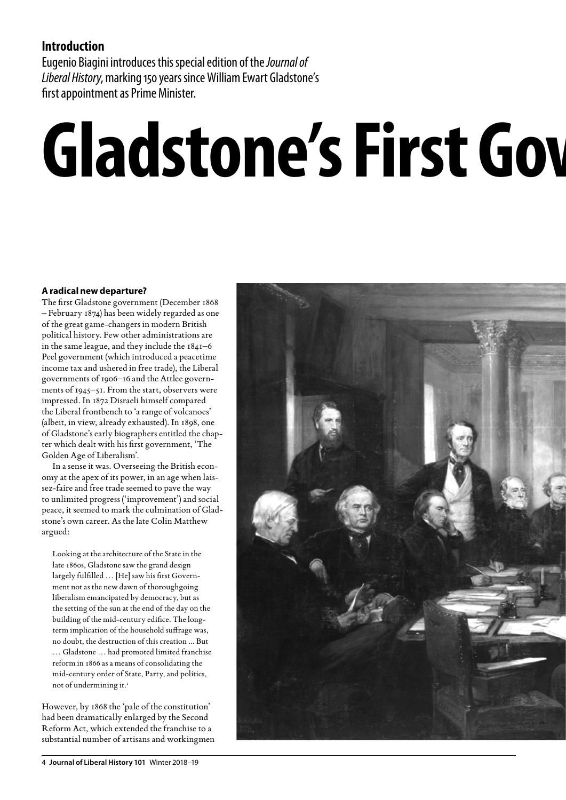## **Introduction**

Eugenio Biagini introduces this special edition of the *Journal of Liberal History*, marking 150 years since William Ewart Gladstone's first appointment as Prime Minister.

## **Gladstone's First Government**

### **A radical new departure?**

The first Gladstone government (December 1868 – February 1874) has been widely regarded as one of the great game-changers in modern British political history. Few other administrations are in the same league, and they include the 1841–6 Peel government (which introduced a peacetime income tax and ushered in free trade), the Liberal governments of 1906–16 and the Attlee governments of 1945–51. From the start, observers were impressed. In 1872 Disraeli himself compared the Liberal frontbench to 'a range of volcanoes' (albeit, in view, already exhausted). In 1898, one of Gladstone's early biographers entitled the chapter which dealt with his first government, 'The Golden Age of Liberalism'.

In a sense it was. Overseeing the British economy at the apex of its power, in an age when laissez-faire and free trade seemed to pave the way to unlimited progress ('improvement') and social peace, it seemed to mark the culmination of Gladstone's own career. As the late Colin Matthew argued:

Looking at the architecture of the State in the late 1860s, Gladstone saw the grand design largely fulfilled … [He] saw his first Government not as the new dawn of thoroughgoing liberalism emancipated by democracy, but as the setting of the sun at the end of the day on the building of the mid-century edifice. The longterm implication of the household suffrage was, no doubt, the destruction of this creation ... But … Gladstone … had promoted limited franchise reform in 1866 as a means of consolidating the mid-century order of State, Party, and politics, not of undermining it.<sup>1</sup>

However, by 1868 the 'pale of the constitution' had been dramatically enlarged by the Second Reform Act, which extended the franchise to a substantial number of artisans and workingmen

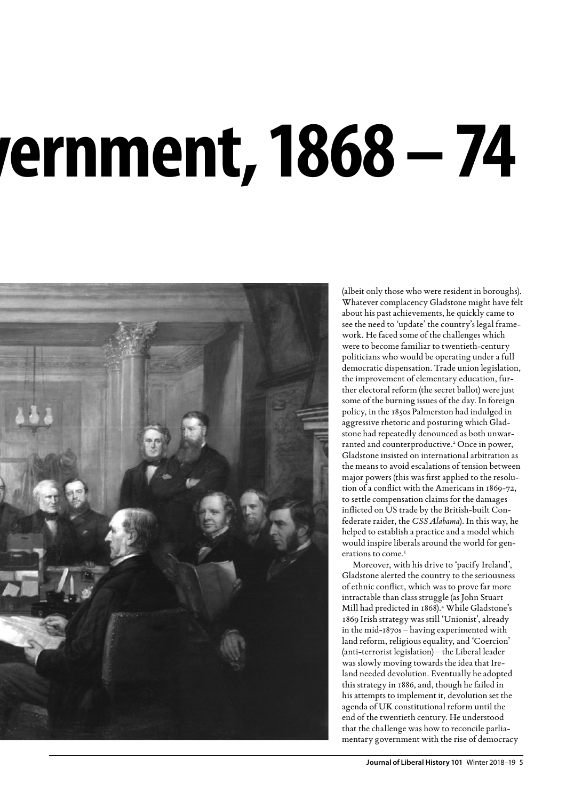# rernment, 1868 – 74



(albeit only those who were resident in boroughs). Whatever complacency Gladstone might have felt about his past achievements, he quickly came to see the need to 'update' the country's legal framework. He faced some of the challenges which were to become familiar to twentieth-century politicians who would be operating under a full democratic dispensation. Trade union legislation, the improvement of elementary education, further electoral reform (the secret ballot) were just some of the burning issues of the day. In foreign policy, in the 1850s Palmerston had indulged in aggressive rhetoric and posturing which Gladstone had repeatedly denounced as both unwarranted and counterproductive.<sup>2</sup> Once in power, Gladstone insisted on international arbitration as the means to avoid escalations of tension between major powers (this was first applied to the resolution of a conflict with the Americans in 1869-72, to settle compensation claims for the damages inflicted on US trade by the British-built Confederate raider, the *CSS Alabama*). In this way, he helped to establish a practice and a model which would inspire liberals around the world for generations to come.3

Moreover, with his drive to 'pacify Ireland', Gladstone alerted the country to the seriousness of ethnic conflict, which was to prove far more intractable than class struggle (as John Stuart Mill had predicted in 1868).4 While Gladstone's 1869 Irish strategy was still 'Unionist', already in the mid-1870s – having experimented with land reform, religious equality, and 'Coercion' (anti-terrorist legislation) – the Liberal leader was slowly moving towards the idea that Ireland needed devolution. Eventually he adopted this strategy in 1886, and, though he failed in his attempts to implement it, devolution set the agenda of UK constitutional reform until the end of the twentieth century. He understood that the challenge was how to reconcile parliamentary government with the rise of democracy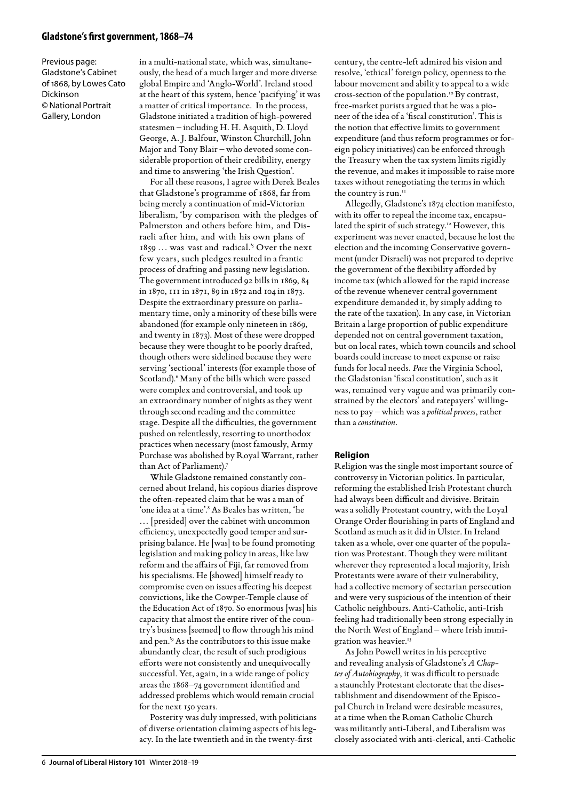### **Gladstone's first government, 1868–74**

Previous page: Gladstone's Cabinet of 1868, by Lowes Cato Dickinson © National Portrait Gallery, London

in a multi-national state, which was, simultaneously, the head of a much larger and more diverse global Empire and 'Anglo-World'. Ireland stood at the heart of this system, hence 'pacifying' it was a matter of critical importance. In the process, Gladstone initiated a tradition of high-powered statesmen – including H. H. Asquith, D. Lloyd George, A. J. Balfour, Winston Churchill, John Major and Tony Blair – who devoted some considerable proportion of their credibility, energy and time to answering 'the Irish Question'.

For all these reasons, I agree with Derek Beales that Gladstone's programme of 1868, far from being merely a continuation of mid-Victorian liberalism, 'by comparison with the pledges of Palmerston and others before him, and Disraeli after him, and with his own plans of 1859 … was vast and radical.'5 Over the next few years, such pledges resulted in a frantic process of drafting and passing new legislation. The government introduced 92 bills in 1869, 84 in 1870, 111 in 1871, 89 in 1872 and 104 in 1873. Despite the extraordinary pressure on parliamentary time, only a minority of these bills were abandoned (for example only nineteen in 1869, and twenty in 1873). Most of these were dropped because they were thought to be poorly drafted, though others were sidelined because they were serving 'sectional' interests (for example those of Scotland).<sup>6</sup> Many of the bills which were passed were complex and controversial, and took up an extraordinary number of nights as they went through second reading and the committee stage. Despite all the difficulties, the government pushed on relentlessly, resorting to unorthodox practices when necessary (most famously, Army Purchase was abolished by Royal Warrant, rather than Act of Parliament).7

While Gladstone remained constantly concerned about Ireland, his copious diaries disprove the often-repeated claim that he was a man of 'one idea at a time'.8 As Beales has written, 'he … [presided] over the cabinet with uncommon efficiency, unexpectedly good temper and surprising balance. He [was] to be found promoting legislation and making policy in areas, like law reform and the affairs of Fiji, far removed from his specialisms. He [showed] himself ready to compromise even on issues affecting his deepest convictions, like the Cowper-Temple clause of the Education Act of 1870. So enormous [was] his capacity that almost the entire river of the country's business [seemed] to flow through his mind and pen.'9 As the contributors to this issue make abundantly clear, the result of such prodigious efforts were not consistently and unequivocally successful. Yet, again, in a wide range of policy areas the 1868–74 government identified and addressed problems which would remain crucial for the next 150 years.

Posterity was duly impressed, with politicians of diverse orientation claiming aspects of his legacy. In the late twentieth and in the twenty-first

century, the centre-left admired his vision and resolve, 'ethical' foreign policy, openness to the labour movement and ability to appeal to a wide cross-section of the population.10 By contrast, free-market purists argued that he was a pioneer of the idea of a 'fiscal constitution'. This is the notion that effective limits to government expenditure (and thus reform programmes or foreign policy initiatives) can be enforced through the Treasury when the tax system limits rigidly the revenue, and makes it impossible to raise more taxes without renegotiating the terms in which the country is run.<sup>11</sup>

Allegedly, Gladstone's 1874 election manifesto, with its offer to repeal the income tax, encapsulated the spirit of such strategy.<sup>12</sup> However, this experiment was never enacted, because he lost the election and the incoming Conservative government (under Disraeli) was not prepared to deprive the government of the flexibility afforded by income tax (which allowed for the rapid increase of the revenue whenever central government expenditure demanded it, by simply adding to the rate of the taxation). In any case, in Victorian Britain a large proportion of public expenditure depended not on central government taxation, but on local rates, which town councils and school boards could increase to meet expense or raise funds for local needs. *Pace* the Virginia School, the Gladstonian 'fiscal constitution', such as it was, remained very vague and was primarily constrained by the electors' and ratepayers' willingness to pay – which was a *political process*, rather than a *constitution*.

### **Religion**

Religion was the single most important source of controversy in Victorian politics. In particular, reforming the established Irish Protestant church had always been difficult and divisive. Britain was a solidly Protestant country, with the Loyal Orange Order flourishing in parts of England and Scotland as much as it did in Ulster. In Ireland taken as a whole, over one quarter of the population was Protestant. Though they were militant wherever they represented a local majority, Irish Protestants were aware of their vulnerability, had a collective memory of sectarian persecution and were very suspicious of the intention of their Catholic neighbours. Anti-Catholic, anti-Irish feeling had traditionally been strong especially in the North West of England – where Irish immigration was heavier.<sup>13</sup>

As John Powell writes in his perceptive and revealing analysis of Gladstone's *A Chapter of Autobiography*, it was difficult to persuade a staunchly Protestant electorate that the disestablishment and disendowment of the Episcopal Church in Ireland were desirable measures, at a time when the Roman Catholic Church was militantly anti-Liberal, and Liberalism was closely associated with anti-clerical, anti-Catholic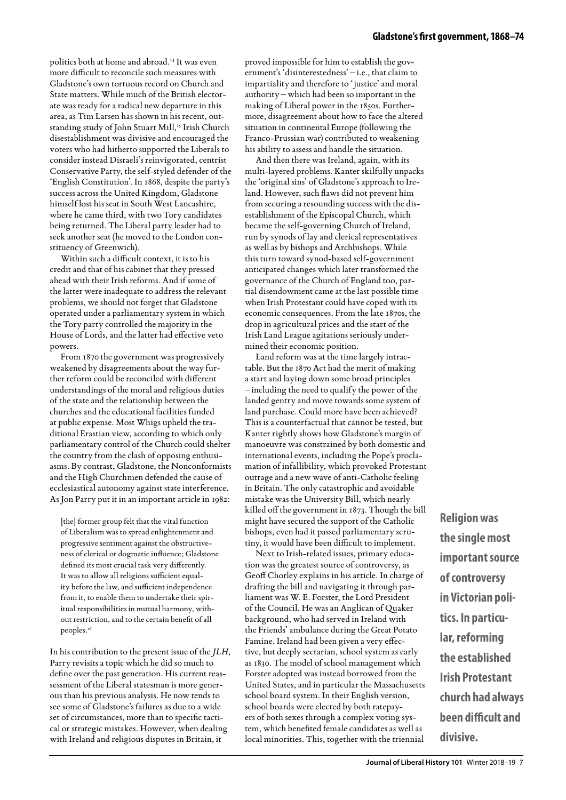politics both at home and abroad.14 It was even more difficult to reconcile such measures with Gladstone's own tortuous record on Church and State matters. While much of the British electorate was ready for a radical new departure in this area, as Tim Larsen has shown in his recent, outstanding study of John Stuart Mill,<sup>15</sup> Irish Church disestablishment was divisive and encouraged the voters who had hitherto supported the Liberals to consider instead Disraeli's reinvigorated, centrist Conservative Party, the self-styled defender of the 'English Constitution'. In 1868, despite the party's success across the United Kingdom, Gladstone himself lost his seat in South West Lancashire, where he came third, with two Tory candidates being returned. The Liberal party leader had to seek another seat (he moved to the London constituency of Greenwich).

Within such a difficult context, it is to his credit and that of his cabinet that they pressed ahead with their Irish reforms. And if some of the latter were inadequate to address the relevant problems, we should not forget that Gladstone operated under a parliamentary system in which the Tory party controlled the majority in the House of Lords, and the latter had effective veto powers.

From 1870 the government was progressively weakened by disagreements about the way further reform could be reconciled with different understandings of the moral and religious duties of the state and the relationship between the churches and the educational facilities funded at public expense. Most Whigs upheld the traditional Erastian view, according to which only parliamentary control of the Church could shelter the country from the clash of opposing enthusiasms. By contrast, Gladstone, the Nonconformists and the High Churchmen defended the cause of ecclesiastical autonomy against state interference. As Jon Parry put it in an important article in 1982:

[the] former group felt that the vital function of Liberalism was to spread enlightenment and progressive sentiment against the obstructiveness of clerical or dogmatic influence; Gladstone defined its most crucial task very differently. It was to allow all religions sufficient equality before the law, and sufficient independence from it, to enable them to undertake their spiritual responsibilities in mutual harmony, without restriction, and to the certain benefit of all peoples.<sup>16</sup>

In his contribution to the present issue of the *JLH*, Parry revisits a topic which he did so much to define over the past generation. His current reassessment of the Liberal statesman is more generous than his previous analysis. He now tends to see some of Gladstone's failures as due to a wide set of circumstances, more than to specific tactical or strategic mistakes. However, when dealing with Ireland and religious disputes in Britain, it

proved impossible for him to establish the government's 'disinterestedness' – i.e., that claim to impartiality and therefore to 'justice' and moral authority – which had been so important in the making of Liberal power in the 1850s. Furthermore, disagreement about how to face the altered situation in continental Europe (following the Franco-Prussian war) contributed to weakening his ability to assess and handle the situation.

And then there was Ireland, again, with its multi-layered problems. Kanter skilfully unpacks the 'original sins' of Gladstone's approach to Ireland. However, such flaws did not prevent him from securing a resounding success with the disestablishment of the Episcopal Church, which became the self-governing Church of Ireland, run by synods of lay and clerical representatives as well as by bishops and Archbishops. While this turn toward synod-based self-government anticipated changes which later transformed the governance of the Church of England too, partial disendowment came at the last possible time when Irish Protestant could have coped with its economic consequences. From the late 1870s, the drop in agricultural prices and the start of the Irish Land League agitations seriously undermined their economic position.

Land reform was at the time largely intractable. But the 1870 Act had the merit of making a start and laying down some broad principles – including the need to qualify the power of the landed gentry and move towards some system of land purchase. Could more have been achieved? This is a counterfactual that cannot be tested, but Kanter rightly shows how Gladstone's margin of manoeuvre was constrained by both domestic and international events, including the Pope's proclamation of infallibility, which provoked Protestant outrage and a new wave of anti-Catholic feeling in Britain. The only catastrophic and avoidable mistake was the University Bill, which nearly killed off the government in 1873. Though the bill might have secured the support of the Catholic bishops, even had it passed parliamentary scrutiny, it would have been difficult to implement.

Next to Irish-related issues, primary education was the greatest source of controversy, as Geoff Chorley explains in his article. In charge of drafting the bill and navigating it through parliament was W. E. Forster, the Lord President of the Council. He was an Anglican of Quaker background, who had served in Ireland with the Friends' ambulance during the Great Potato Famine. Ireland had been given a very effective, but deeply sectarian, school system as early as 1830. The model of school management which Forster adopted was instead borrowed from the United States, and in particular the Massachusetts school board system. In their English version, school boards were elected by both ratepayers of both sexes through a complex voting system, which benefited female candidates as well as local minorities. This, together with the triennial

**Religion was the single most important source of controversy in Victorian politics. In particular, reforming the established Irish Protestant church had always been difficult and divisive.**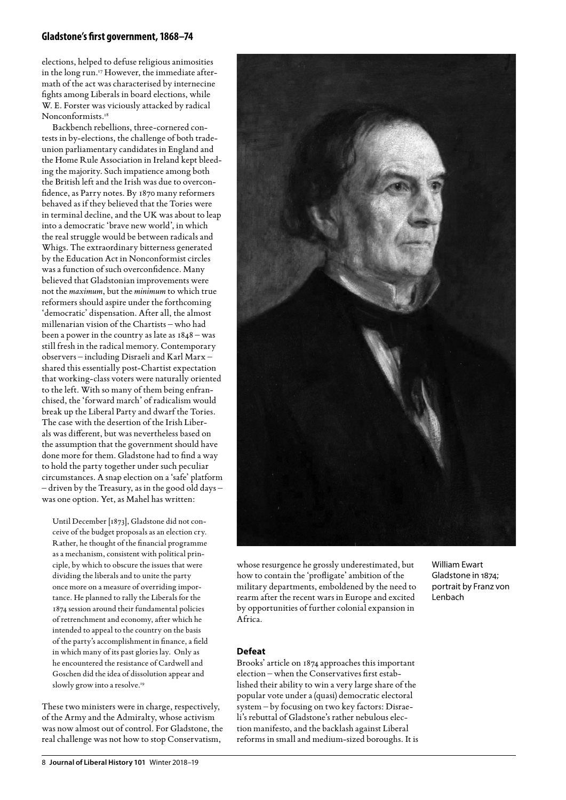### **Gladstone's first government, 1868–74**

elections, helped to defuse religious animosities in the long run.<sup>17</sup> However, the immediate aftermath of the act was characterised by internecine fights among Liberals in board elections, while W. E. Forster was viciously attacked by radical Nonconformists.<sup>18</sup>

Backbench rebellions, three-cornered contests in by-elections, the challenge of both tradeunion parliamentary candidates in England and the Home Rule Association in Ireland kept bleeding the majority. Such impatience among both the British left and the Irish was due to overconfidence, as Parry notes. By 1870 many reformers behaved as if they believed that the Tories were in terminal decline, and the UK was about to leap into a democratic 'brave new world', in which the real struggle would be between radicals and Whigs. The extraordinary bitterness generated by the Education Act in Nonconformist circles was a function of such overconfidence. Many believed that Gladstonian improvements were not the *maximum*, but the *minimum* to which true reformers should aspire under the forthcoming 'democratic' dispensation. After all, the almost millenarian vision of the Chartists – who had been a power in the country as late as 1848 – was still fresh in the radical memory. Contemporary observers – including Disraeli and Karl Marx – shared this essentially post-Chartist expectation that working-class voters were naturally oriented to the left. With so many of them being enfranchised, the 'forward march' of radicalism would break up the Liberal Party and dwarf the Tories. The case with the desertion of the Irish Liberals was different, but was nevertheless based on the assumption that the government should have done more for them. Gladstone had to find a way to hold the party together under such peculiar circumstances. A snap election on a 'safe' platform – driven by the Treasury, as in the good old days – was one option. Yet, as Mahel has written:

Until December [1873], Gladstone did not conceive of the budget proposals as an election cry. Rather, he thought of the financial programme as a mechanism, consistent with political principle, by which to obscure the issues that were dividing the liberals and to unite the party once more on a measure of overriding importance. He planned to rally the Liberals for the 1874 session around their fundamental policies of retrenchment and economy, after which he intended to appeal to the country on the basis of the party's accomplishment in finance, a field in which many of its past glories lay. Only as he encountered the resistance of Cardwell and Goschen did the idea of dissolution appear and slowly grow into a resolve.<sup>19</sup>

These two ministers were in charge, respectively, of the Army and the Admiralty, whose activism was now almost out of control. For Gladstone, the real challenge was not how to stop Conservatism,



whose resurgence he grossly underestimated, but how to contain the 'profligate' ambition of the military departments, emboldened by the need to rearm after the recent wars in Europe and excited by opportunities of further colonial expansion in Africa.

William Ewart Gladstone in 1874; portrait by Franz von Lenbach

### **Defeat**

Brooks' article on 1874 approaches this important election – when the Conservatives first established their ability to win a very large share of the popular vote under a (quasi) democratic electoral system – by focusing on two key factors: Disraeli's rebuttal of Gladstone's rather nebulous election manifesto, and the backlash against Liberal reforms in small and medium-sized boroughs. It is